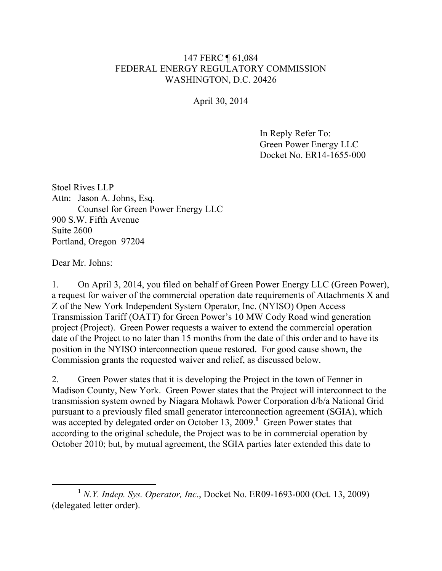## 147 FERC ¶ 61,084 FEDERAL ENERGY REGULATORY COMMISSION WASHINGTON, D.C. 20426

April 30, 2014

In Reply Refer To: Green Power Energy LLC Docket No. ER14-1655-000

Stoel Rives LLP Attn: Jason A. Johns, Esq. Counsel for Green Power Energy LLC 900 S.W. Fifth Avenue Suite 2600 Portland, Oregon 97204

Dear Mr. Johns:

1. On April 3, 2014, you filed on behalf of Green Power Energy LLC (Green Power), a request for waiver of the commercial operation date requirements of Attachments X and Z of the New York Independent System Operator, Inc. (NYISO) Open Access Transmission Tariff (OATT) for Green Power's 10 MW Cody Road wind generation project (Project). Green Power requests a waiver to extend the commercial operation date of the Project to no later than 15 months from the date of this order and to have its position in the NYISO interconnection queue restored. For good cause shown, the Commission grants the requested waiver and relief, as discussed below.

2. Green Power states that it is developing the Project in the town of Fenner in Madison County, New York. Green Power states that the Project will interconnect to the transmission system owned by Niagara Mohawk Power Corporation d/b/a National Grid pursuant to a previously filed small generator interconnection agreement (SGIA), which was accepted by delegated order on October 13, 2009.<sup>1</sup> Green Power states that according to the original schedule, the Project was to be in commercial operation by October 2010; but, by mutual agreement, the SGIA parties later extended this date to

**<sup>1</sup>** *N.Y. Indep. Sys. Operator, Inc*., Docket No. ER09-1693-000 (Oct. 13, 2009) (delegated letter order).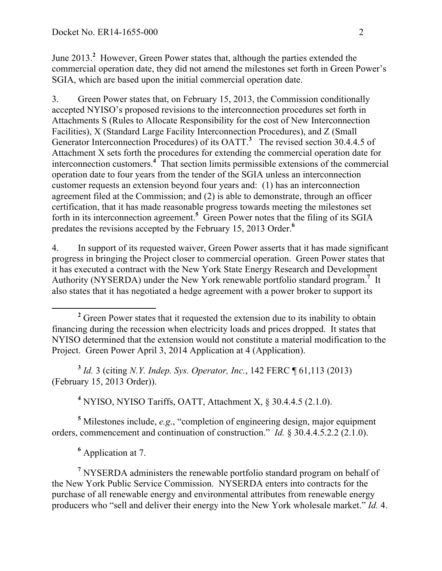June 2013.**<sup>2</sup>** However, Green Power states that, although the parties extended the commercial operation date, they did not amend the milestones set forth in Green Power's SGIA, which are based upon the initial commercial operation date.

3. Green Power states that, on February 15, 2013, the Commission conditionally accepted NYISO's proposed revisions to the interconnection procedures set forth in Attachments S (Rules to Allocate Responsibility for the cost of New Interconnection Facilities), X (Standard Large Facility Interconnection Procedures), and Z (Small Generator Interconnection Procedures) of its OATT.**<sup>3</sup>** The revised section 30.4.4.5 of Attachment X sets forth the procedures for extending the commercial operation date for interconnection customers.**<sup>4</sup>** That section limits permissible extensions of the commercial operation date to four years from the tender of the SGIA unless an interconnection customer requests an extension beyond four years and: (1) has an interconnection agreement filed at the Commission; and (2) is able to demonstrate, through an officer certification, that it has made reasonable progress towards meeting the milestones set forth in its interconnection agreement.<sup>5</sup> Green Power notes that the filing of its SGIA predates the revisions accepted by the February 15, 2013 Order.**<sup>6</sup>**

4. In support of its requested waiver, Green Power asserts that it has made significant progress in bringing the Project closer to commercial operation. Green Power states that it has executed a contract with the New York State Energy Research and Development Authority (NYSERDA) under the New York renewable portfolio standard program.<sup>7</sup> It also states that it has negotiated a hedge agreement with a power broker to support its

**<sup>3</sup>** *Id.* 3 (citing *N.Y. Indep. Sys. Operator, Inc.*, 142 FERC ¶ 61,113 (2013) (February 15, 2013 Order)).

**<sup>4</sup>** NYISO, NYISO Tariffs, OATT, Attachment X, § 30.4.4.5 (2.1.0).

**<sup>5</sup>** Milestones include, *e.g*., "completion of engineering design, major equipment orders, commencement and continuation of construction." *Id.* § 30.4.4.5.2.2 (2.1.0).

**<sup>6</sup>** Application at 7.

**<sup>7</sup>** NYSERDA administers the renewable portfolio standard program on behalf of the New York Public Service Commission. NYSERDA enters into contracts for the purchase of all renewable energy and environmental attributes from renewable energy producers who "sell and deliver their energy into the New York wholesale market." *Id.* 4.

<sup>&</sup>lt;sup>2</sup> Green Power states that it requested the extension due to its inability to obtain financing during the recession when electricity loads and prices dropped. It states that NYISO determined that the extension would not constitute a material modification to the Project. Green Power April 3, 2014 Application at 4 (Application).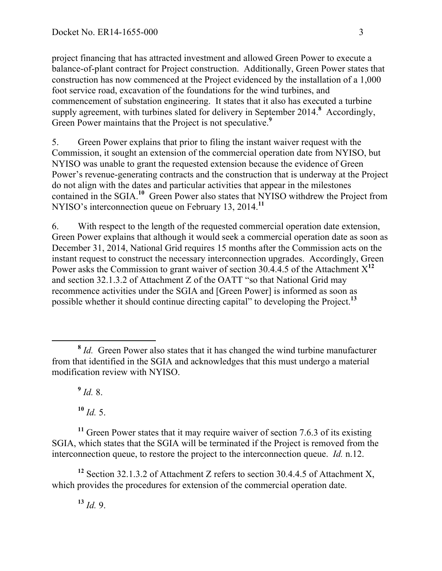project financing that has attracted investment and allowed Green Power to execute a balance-of-plant contract for Project construction. Additionally, Green Power states that construction has now commenced at the Project evidenced by the installation of a 1,000 foot service road, excavation of the foundations for the wind turbines, and commencement of substation engineering. It states that it also has executed a turbine supply agreement, with turbines slated for delivery in September 2014.**<sup>8</sup>** Accordingly, Green Power maintains that the Project is not speculative.<sup>9</sup>

5. Green Power explains that prior to filing the instant waiver request with the Commission, it sought an extension of the commercial operation date from NYISO, but NYISO was unable to grant the requested extension because the evidence of Green Power's revenue-generating contracts and the construction that is underway at the Project do not align with the dates and particular activities that appear in the milestones contained in the SGIA.<sup>10</sup> Green Power also states that NYISO withdrew the Project from NYISO's interconnection queue on February 13, 2014.**<sup>11</sup>**

6. With respect to the length of the requested commercial operation date extension, Green Power explains that although it would seek a commercial operation date as soon as December 31, 2014, National Grid requires 15 months after the Commission acts on the instant request to construct the necessary interconnection upgrades. Accordingly, Green Power asks the Commission to grant waiver of section 30.4.4.5 of the Attachment X**<sup>12</sup>** and section 32.1.3.2 of Attachment Z of the OATT "so that National Grid may recommence activities under the SGIA and [Green Power] is informed as soon as possible whether it should continue directing capital" to developing the Project.**<sup>13</sup>**

 $9$  *Id.* 8.

**<sup>10</sup>** *Id.* 5.

**<sup>11</sup>** Green Power states that it may require waiver of section 7.6.3 of its existing SGIA, which states that the SGIA will be terminated if the Project is removed from the interconnection queue, to restore the project to the interconnection queue. *Id.* n.12.

**<sup>12</sup>** Section 32.1.3.2 of Attachment Z refers to section 30.4.4.5 of Attachment X, which provides the procedures for extension of the commercial operation date.

**<sup>13</sup>** *Id.* 9.

**<sup>8</sup>** *Id.* Green Power also states that it has changed the wind turbine manufacturer from that identified in the SGIA and acknowledges that this must undergo a material modification review with NYISO.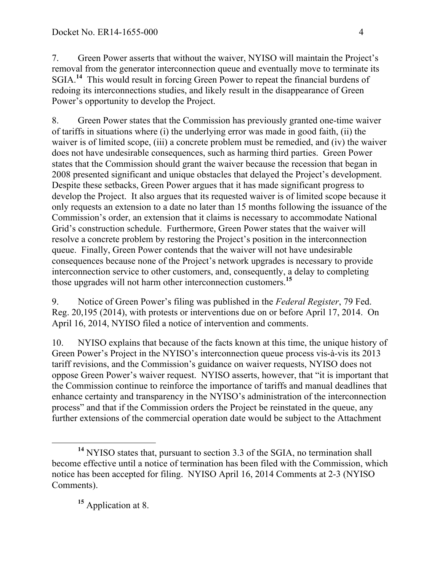7. Green Power asserts that without the waiver, NYISO will maintain the Project's removal from the generator interconnection queue and eventually move to terminate its SGIA.**<sup>14</sup>** This would result in forcing Green Power to repeat the financial burdens of redoing its interconnections studies, and likely result in the disappearance of Green Power's opportunity to develop the Project.

8. Green Power states that the Commission has previously granted one-time waiver of tariffs in situations where (i) the underlying error was made in good faith, (ii) the waiver is of limited scope, (iii) a concrete problem must be remedied, and (iv) the waiver does not have undesirable consequences, such as harming third parties. Green Power states that the Commission should grant the waiver because the recession that began in 2008 presented significant and unique obstacles that delayed the Project's development. Despite these setbacks, Green Power argues that it has made significant progress to develop the Project. It also argues that its requested waiver is of limited scope because it only requests an extension to a date no later than 15 months following the issuance of the Commission's order, an extension that it claims is necessary to accommodate National Grid's construction schedule. Furthermore, Green Power states that the waiver will resolve a concrete problem by restoring the Project's position in the interconnection queue. Finally, Green Power contends that the waiver will not have undesirable consequences because none of the Project's network upgrades is necessary to provide interconnection service to other customers, and, consequently, a delay to completing those upgrades will not harm other interconnection customers.**<sup>15</sup>**

9. Notice of Green Power's filing was published in the *Federal Register*, 79 Fed. Reg. 20,195 (2014), with protests or interventions due on or before April 17, 2014. On April 16, 2014, NYISO filed a notice of intervention and comments.

10. NYISO explains that because of the facts known at this time, the unique history of Green Power's Project in the NYISO's interconnection queue process vis-à-vis its 2013 tariff revisions, and the Commission's guidance on waiver requests, NYISO does not oppose Green Power's waiver request. NYISO asserts, however, that "it is important that the Commission continue to reinforce the importance of tariffs and manual deadlines that enhance certainty and transparency in the NYISO's administration of the interconnection process" and that if the Commission orders the Project be reinstated in the queue, any further extensions of the commercial operation date would be subject to the Attachment

**<sup>14</sup>** NYISO states that, pursuant to section 3.3 of the SGIA, no termination shall become effective until a notice of termination has been filed with the Commission, which notice has been accepted for filing. NYISO April 16, 2014 Comments at 2-3 (NYISO Comments).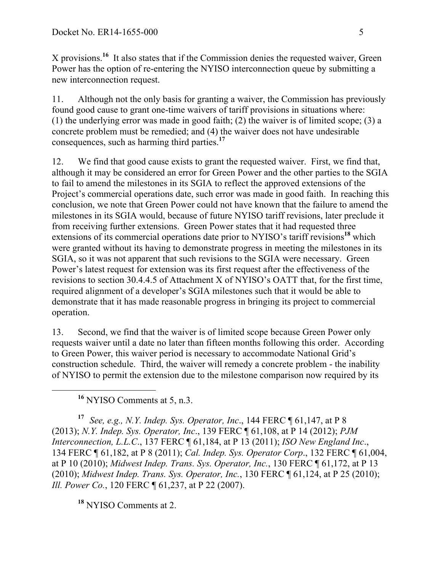X provisions.**<sup>16</sup>** It also states that if the Commission denies the requested waiver, Green Power has the option of re-entering the NYISO interconnection queue by submitting a new interconnection request.

11. Although not the only basis for granting a waiver, the Commission has previously found good cause to grant one-time waivers of tariff provisions in situations where: (1) the underlying error was made in good faith; (2) the waiver is of limited scope; (3) a concrete problem must be remedied; and (4) the waiver does not have undesirable consequences, such as harming third parties.**<sup>17</sup>**

12. We find that good cause exists to grant the requested waiver. First, we find that, although it may be considered an error for Green Power and the other parties to the SGIA to fail to amend the milestones in its SGIA to reflect the approved extensions of the Project's commercial operations date, such error was made in good faith. In reaching this conclusion, we note that Green Power could not have known that the failure to amend the milestones in its SGIA would, because of future NYISO tariff revisions, later preclude it from receiving further extensions. Green Power states that it had requested three extensions of its commercial operations date prior to NYISO's tariff revisions**<sup>18</sup>** which were granted without its having to demonstrate progress in meeting the milestones in its SGIA, so it was not apparent that such revisions to the SGIA were necessary. Green Power's latest request for extension was its first request after the effectiveness of the revisions to section 30.4.4.5 of Attachment X of NYISO's OATT that, for the first time, required alignment of a developer's SGIA milestones such that it would be able to demonstrate that it has made reasonable progress in bringing its project to commercial operation.

13. Second, we find that the waiver is of limited scope because Green Power only requests waiver until a date no later than fifteen months following this order. According to Green Power, this waiver period is necessary to accommodate National Grid's construction schedule. Third, the waiver will remedy a concrete problem - the inability of NYISO to permit the extension due to the milestone comparison now required by its

**<sup>16</sup>** NYISO Comments at 5, n.3.

**<sup>17</sup>** *See, e.g., N.Y. Indep. Sys. Operator, Inc*., 144 FERC ¶ 61,147, at P 8 (2013); *N.Y. Indep. Sys. Operator, Inc*., 139 FERC ¶ 61,108, at P 14 (2012); *PJM Interconnection, L.L.C*., 137 FERC ¶ 61,184, at P 13 (2011); *ISO New England Inc*., 134 FERC ¶ 61,182, at P 8 (2011); *Cal. Indep. Sys. Operator Corp*., 132 FERC ¶ 61,004, at P 10 (2010); *Midwest Indep. Trans. Sys. Operator, Inc.*, 130 FERC ¶ 61,172, at P 13 (2010); *Midwest Indep. Trans. Sys. Operator, Inc.*, 130 FERC ¶ 61,124, at P 25 (2010); *Ill. Power Co.*, 120 FERC ¶ 61,237, at P 22 (2007).

**<sup>18</sup>** NYISO Comments at 2.